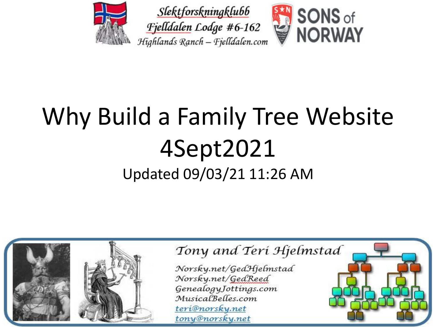





### Why Build a Family Tree Website 4Sept2021 Updated 09/03/21 11:26 AM

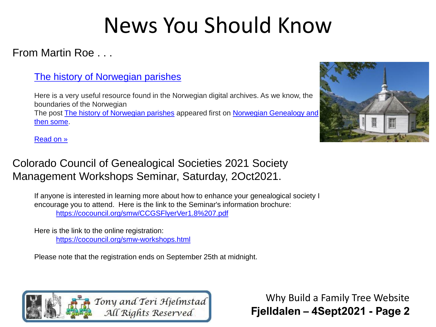#### From Martin Roe . . .

#### [The history of Norwegian parishes](https://martinroe.us20.list-manage.com/track/click?u=70f7f1d838459621f48cbd55f&id=ae871c68b4&e=9ae5d2f64d)

Here is a very useful resource found in the Norwegian digital archives. As we know, the boundaries of the Norwegian The post [The history of Norwegian parishes](https://martinroe.us20.list-manage.com/track/click?u=70f7f1d838459621f48cbd55f&id=aa467d7655&e=9ae5d2f64d) [appeared first on Norwegian Genealogy and](https://martinroe.us20.list-manage.com/track/click?u=70f7f1d838459621f48cbd55f&id=90b024c6a8&e=9ae5d2f64d)  then some.



[Read on »](https://martinroe.us20.list-manage.com/track/click?u=70f7f1d838459621f48cbd55f&id=d94c680529&e=9ae5d2f64d)

#### Colorado Council of Genealogical Societies 2021 Society Management Workshops Seminar, Saturday, 2Oct2021.

If anyone is interested in learning more about how to enhance your genealogical society I encourage you to attend. Here is the link to the Seminar's information brochure: <https://cocouncil.org/smw/CCGSFlyerVer1.8%207.pdf>

Here is the link to the online registration: <https://cocouncil.org/smw-workshops.html>

Please note that the registration ends on September 25th at midnight.

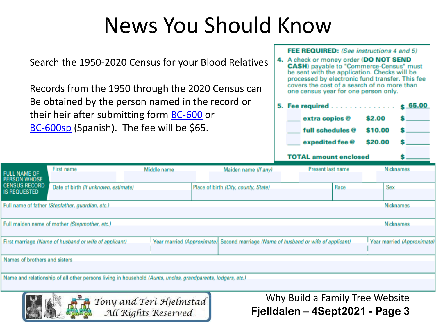Search the 1950-2020 Census for your Blood Relatives

Records from the 1950 through the 2020 Census can Be obtained by the person named in the record or their heir after submitting form [BC-600](https://www.census.gov/history/pdf/bc-600-2013.pdf) or [BC-600sp](https://www.census.gov/history/pdf/bc-600sp-2013.pdf) (Spanish). The fee will be \$65.

All Rights Reserved

**FEE REQUIRED:** (See instructions 4 and 5)

4. A check or money order (DO NOT SEND **CASH**) payable to "Commerce-Census" must be sent with the application. Checks will be processed by electronic fund transfer. This fee covers the cost of a search of no more than one census year for one person only.

|  | 5. Fee required \$ 65.00 |                         |         |  |  |
|--|--------------------------|-------------------------|---------|--|--|
|  |                          | extra copies @          | \$2.00  |  |  |
|  |                          | full schedules @        | \$10.00 |  |  |
|  |                          | expedited fee @ \$20.00 |         |  |  |
|  |                          |                         |         |  |  |

TOTAL amount enclosed

| <b>FULL NAME OF</b>                                                                                                  | First name                                            | Middle name | Maiden name (If any)                                                              |  | Present last name |      | Nicknames                  |
|----------------------------------------------------------------------------------------------------------------------|-------------------------------------------------------|-------------|-----------------------------------------------------------------------------------|--|-------------------|------|----------------------------|
| <b>PERSON WHOSE</b><br><b>CENSUS RECORD</b><br>IS REQUESTED                                                          | Date of birth (If unknown, estimate)                  |             | Place of birth (City, county, State)                                              |  |                   | Race | Sex                        |
|                                                                                                                      | Full name of father (Stepfather, guardian, etc.)      |             |                                                                                   |  |                   |      | <b>Nicknames</b>           |
|                                                                                                                      | Full maiden name of mother (Stepmother, etc.)         |             |                                                                                   |  |                   |      | Nicknames                  |
|                                                                                                                      | First marriage (Name of husband or wife of applicant) |             | Year married (Approximate) Second marriage (Name of husband or wife of applicant) |  |                   |      | Year married (Approximate) |
| Names of brothers and sisters                                                                                        |                                                       |             |                                                                                   |  |                   |      |                            |
| Name and relationship of all other persons living in household (Aunts, uncles, grandparents, lodgers, etc.)          |                                                       |             |                                                                                   |  |                   |      |                            |
| Why Build a Family Tree Website<br>Tony and Teri Hjelmstad<br>All Rights Reserved<br>Fielldalen - 4Sept2021 - Page 3 |                                                       |             |                                                                                   |  |                   |      |                            |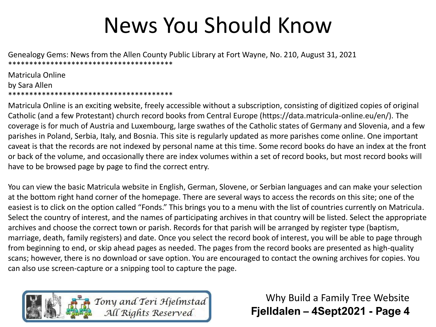Genealogy Gems: News from the Allen County Public Library at Fort Wayne, No. 210, August 31, 2021 \*\*\*\*\*\*\*\*\*\*\*\*\*\*\*\*\*\*\*\*\*\*\*\*\*\*\*\*\*\*\*\*\*\*\*\*\*\*\*

Matricula Online by Sara Allen \*\*\*\*\*\*\*\*\*\*\*\*\*\*\*\*\*\*\*\*\*\*\*\*\*\*\*\*\*\*\*\*\*\*\*\*\*\*\*

Matricula Online is an exciting website, freely accessible without a subscription, consisting of digitized copies of original Catholic (and a few Protestant) church record books from Central Europe (https://data.matricula-online.eu/en/). The coverage is for much of Austria and Luxembourg, large swathes of the Catholic states of Germany and Slovenia, and a few parishes in Poland, Serbia, Italy, and Bosnia. This site is regularly updated as more parishes come online. One important caveat is that the records are not indexed by personal name at this time. Some record books do have an index at the front or back of the volume, and occasionally there are index volumes within a set of record books, but most record books will have to be browsed page by page to find the correct entry.

You can view the basic Matricula website in English, German, Slovene, or Serbian languages and can make your selection at the bottom right hand corner of the homepage. There are several ways to access the records on this site; one of the easiest is to click on the option called "Fonds." This brings you to a menu with the list of countries currently on Matricula. Select the country of interest, and the names of participating archives in that country will be listed. Select the appropriate archives and choose the correct town or parish. Records for that parish will be arranged by register type (baptism, marriage, death, family registers) and date. Once you select the record book of interest, you will be able to page through from beginning to end, or skip ahead pages as needed. The pages from the record books are presented as high-quality scans; however, there is no download or save option. You are encouraged to contact the owning archives for copies. You can also use screen-capture or a snipping tool to capture the page.

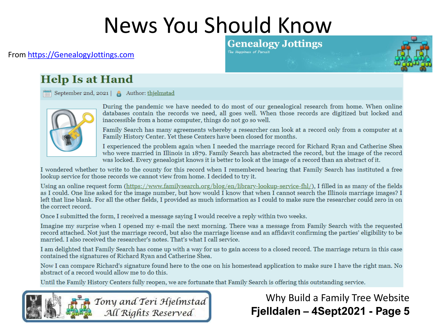#### From [https://GenealogyJottings.com](https://genealogyjottings.com/)

#### **Genealogy Jottings** The Happiness of Pursuit

#### **Help Is at Hand**

 $\boxed{\frac{1}{\text{cm}}}$  September 2nd, 2021 | Author: thjelmstad



During the pandemic we have needed to do most of our genealogical research from home. When online databases contain the records we need, all goes well. When those records are digitized but locked and inaccessible from a home computer, things do not go so well.

Family Search has many agreements whereby a researcher can look at a record only from a computer at a Family History Center. Yet these Centers have been closed for months.

I experienced the problem again when I needed the marriage record for Richard Ryan and Catherine Shea who were married in Illinois in 1879. Family Search has abstracted the record, but the image of the record was locked. Every genealogist knows it is better to look at the image of a record than an abstract of it.

I wondered whether to write to the county for this record when I remembered hearing that Family Search has instituted a free lookup service for those records we cannot view from home. I decided to try it.

Using an online request form (https://www.familysearch.org/blog/en/library-lookup-service-fhl/), I filled in as many of the fields as I could. One line asked for the image number, but how would I know that when I cannot search the Illinois marriage images? I left that line blank. For all the other fields, I provided as much information as I could to make sure the researcher could zero in on the correct record.

Once I submitted the form, I received a message saying I would receive a reply within two weeks.

Imagine my surprise when I opened my e-mail the next morning. There was a message from Family Search with the requested record attached. Not just the marriage record, but also the marriage license and an affidavit confirming the parties' eligibility to be married. I also received the researcher's notes. That's what I call service.

I am delighted that Family Search has come up with a way for us to gain access to a closed record. The marriage return in this case contained the signatures of Richard Ryan and Catherine Shea.

Now I can compare Richard's signature found here to the one on his homestead application to make sure I have the right man. No abstract of a record would allow me to do this.

Until the Family History Centers fully reopen, we are fortunate that Family Search is offering this outstanding service.

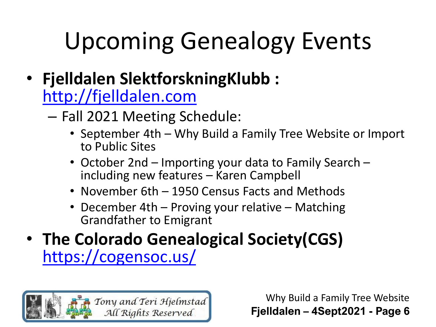- **Fjelldalen SlektforskningKlubb :**  [http://fjelldalen.com](http://fjelldalen.com/)
	- Fall 2021 Meeting Schedule:
		- September 4th Why Build a Family Tree Website or Import to Public Sites
		- October 2nd Importing your data to Family Search including new features – Karen Campbell
		- November 6th 1950 Census Facts and Methods
		- December 4th Proving your relative Matching Grandfather to Emigrant
- **The Colorado Genealogical Society(CGS)**  <https://cogensoc.us/>

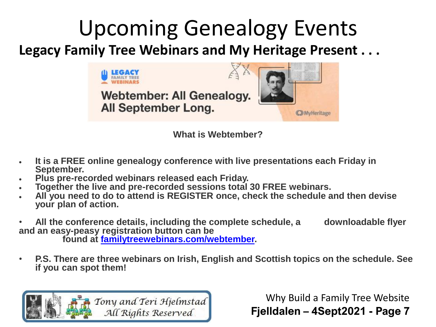#### **Legacy Family Tree Webinars and My Heritage Present . . .** Upcoming Genealogy Events



**What is Webtember?**

- **It is a FREE online genealogy conference with live presentations each Friday in September.**
- **Plus pre-recorded webinars released each Friday.**
- **Together the live and pre-recorded sessions total 30 FREE webinars.**
- **All you need to do to attend is REGISTER once, check the schedule and then devise your plan of action.**
- **All the conference details, including the complete schedule, a downloadable flyer and an easy-peasy registration button can be**

**found at [familytreewebinars.com/webtember.](https://r20.rs6.net/tn.jsp?f=0012a9jWG5rE_3zMpmReNXFqQz2EghHrN1AVr7JPmzJdaFtDD1U9jAcKO6Odjc4bEKu0-XqbICKN_T-6q1tPXsI1EKDIeEzgr1at11bsW4P-IEPzHSdLFXfMLcbF4PVjwLC2heeL1bCwwfIwmZmDYnWpW90ok1LRYGTQt_ju-VEdxo=&c=W6srJoH13uFGWaAwZuREAl0KNOcnjNJ5FroaXXpaRqXGgx9mz7yYaA==&ch=VTnb9l1XI7SZ2AdbzOrt6GCj8f79gov8TWrJFQ8anF1gUlHsNIlR-g==)** 

• **P.S. There are three webinars on Irish, English and Scottish topics on the schedule. See if you can spot them!**

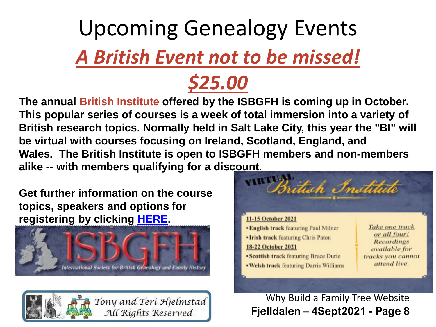# *A British Event not to be missed!* Upcoming Genealogy Events



**The annual British Institute offered by the ISBGFH is coming up in October. This popular series of courses is a week of total immersion into a variety of British research topics. Normally held in Salt Lake City, this year the "BI" will be virtual with courses focusing on Ireland, Scotland, England, and Wales. The British Institute is open to ISBGFH members and non-members alike -- with members qualifying for a discount.**

**Get further information on the course topics, speakers and options for registering by clicking [HERE](https://r20.rs6.net/tn.jsp?f=0012a9jWG5rE_3zMpmReNXFqQz2EghHrN1AVr7JPmzJdaFtDD1U9jAcKPgaOnclURE9SId1L2hpE-NojZrsI2SojsOCG3C4wDbDqmJRDaB6s5LJ3zPvA8qUKQ4o3WehbcGXvTSNHFdvsySJ8o9emSaQibGpVKiPuZZSxZeSw5j70N0=&c=W6srJoH13uFGWaAwZuREAl0KNOcnjNJ5FroaXXpaRqXGgx9mz7yYaA==&ch=VTnb9l1XI7SZ2AdbzOrt6GCj8f79gov8TWrJFQ8anF1gUlHsNIlR-g==).**



Tony and Teri Hjelmstad All Rights Reserved

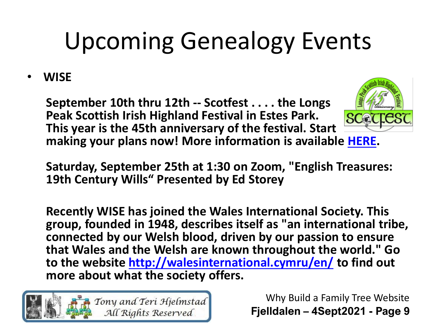#### • **WISE**

**September 10th thru 12th -- Scotfest . . . . the Longs Peak Scottish Irish Highland Festival in Estes Park. This year is the 45th anniversary of the festival. Start making your plans now! More information is available [HERE.](https://r20.rs6.net/tn.jsp?f=001K-AczBr3teRXOwGsRW3bQI5SMJdHA5km93-JWVhA66UmC0zZBEbGGCUcL957lbmdiGfnT2EjgVXf9gfJfwJ88BnA5eSSGiZgGYhFleYL0_7c6LLw9xgbSpbsK2Qjpc18SEW2QUanZOTbj6tVXVHjBg==&c=aZf-dMbzCLwEUjyGsBXRisQxIAz6tiKierxeNh6oxe9VaTMe_2FKkg==&ch=HjNSZJAN8SU2KmKU1nN1bWGkIrLttg75RHQFZcla3g0DTz7CO-jbXw==)** 



**Saturday, September 25th at 1:30 on Zoom, "English Treasures: 19th Century Wills" Presented by Ed Storey**

**Recently WISE has joined the Wales International Society. This group, founded in 1948, describes itself as "an international tribe, connected by our Welsh blood, driven by our passion to ensure that Wales and the Welsh are known throughout the world." Go to the website <http://walesinternational.cymru/en/> to find out more about what the society offers.** 

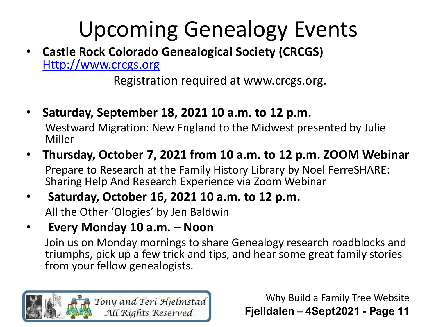• **Castle Rock Colorado Genealogical Society (CRCGS)**  [Http://www.crcgs.org](http://www.crcgs.org/)

Registration required at www.crcgs.org.

- **Saturday, September 18, 2021 10 a.m. to 12 p.m.** Westward Migration: New England to the Midwest presented by Julie Miller
- **Thursday, October 7, 2021 from 10 a.m. to 12 p.m. ZOOM Webinar** Prepare to Research at the Family History Library by Noel FerreSHARE: Sharing Help And Research Experience via Zoom Webinar
- **Saturday, October 16, 2021 10 a.m. to 12 p.m.** All the Other 'Ologies' by Jen Baldwin
- **Every Monday 10 a.m. – Noon**

Join us on Monday mornings to share Genealogy research roadblocks and triumphs, pick up a few trick and tips, and hear some great family stories from your fellow genealogists.

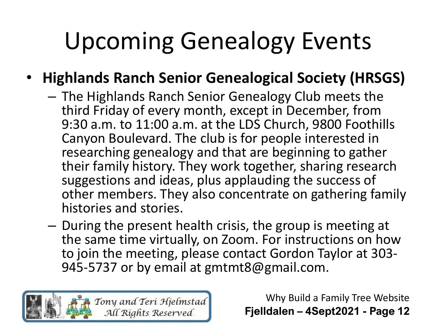#### • **Highlands Ranch Senior Genealogical Society (HRSGS)**

- The Highlands Ranch Senior Genealogy Club meets the third Friday of every month, except in December, from 9:30 a.m. to 11:00 a.m. at the LDS Church, 9800 Foothills Canyon Boulevard. The club is for people interested in researching genealogy and that are beginning to gather their family history. They work together, sharing research suggestions and ideas, plus applauding the success of other members. They also concentrate on gathering family histories and stories.
- During the present health crisis, the group is meeting at the same time virtually, on Zoom. For instructions on how to join the meeting, please contact Gordon Taylor at 303- 945-5737 or by email at gmtmt8@gmail.com.

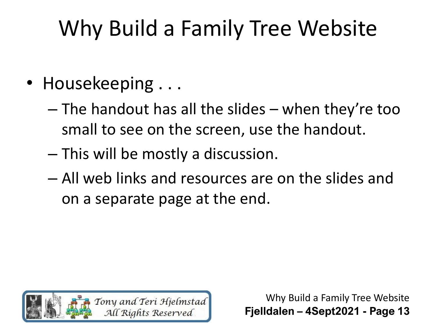- Housekeeping ...
	- The handout has all the slides when they're too small to see on the screen, use the handout.
	- This will be mostly a discussion.
	- All web links and resources are on the slides and on a separate page at the end.

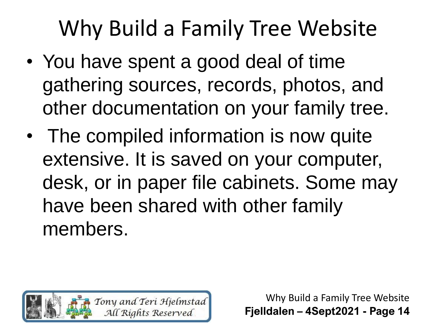- You have spent a good deal of time gathering sources, records, photos, and other documentation on your family tree.
- The compiled information is now quite extensive. It is saved on your computer, desk, or in paper file cabinets. Some may have been shared with other family members.

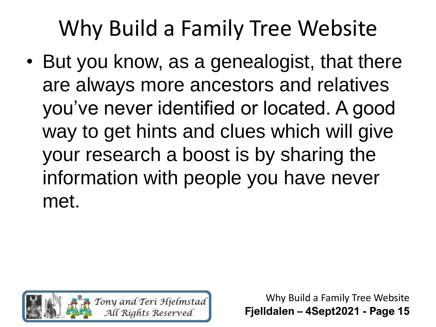• But you know, as a genealogist, that there are always more ancestors and relatives you've never identified or located. A good way to get hints and clues which will give your research a boost is by sharing the information with people you have never met.

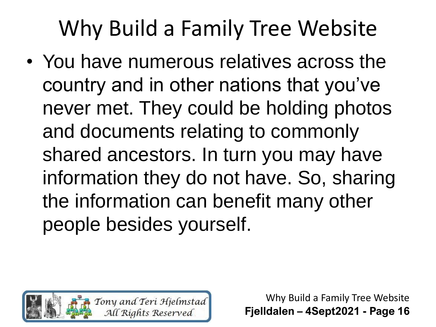• You have numerous relatives across the country and in other nations that you've never met. They could be holding photos and documents relating to commonly shared ancestors. In turn you may have information they do not have. So, sharing the information can benefit many other people besides yourself.

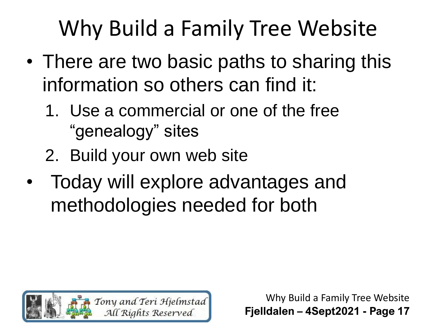- There are two basic paths to sharing this information so others can find it:
	- 1. Use a commercial or one of the free "genealogy" sites
	- 2. Build your own web site
- Today will explore advantages and methodologies needed for both

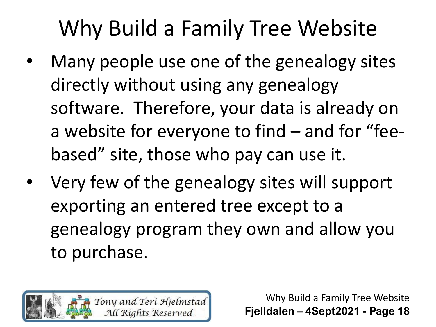- Many people use one of the genealogy sites directly without using any genealogy software. Therefore, your data is already on a website for everyone to find – and for "feebased" site, those who pay can use it.
- Very few of the genealogy sites will support exporting an entered tree except to a genealogy program they own and allow you to purchase.

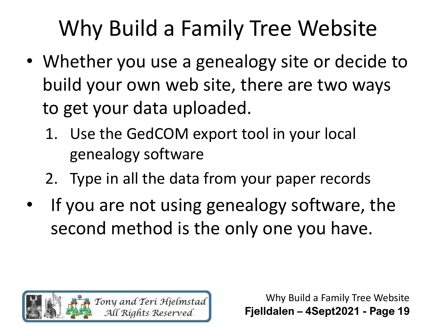- Whether you use a genealogy site or decide to build your own web site, there are two ways to get your data uploaded.
	- 1. Use the GedCOM export tool in your local genealogy software
	- 2. Type in all the data from your paper records
- If you are not using genealogy software, the second method is the only one you have.

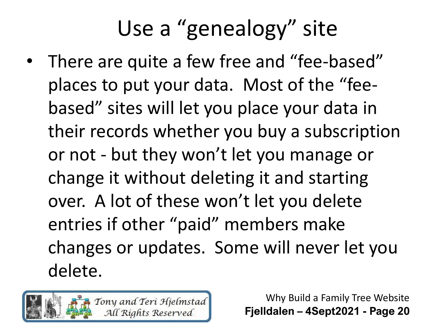• There are quite a few free and "fee-based" places to put your data. Most of the "feebased" sites will let you place your data in their records whether you buy a subscription or not - but they won't let you manage or change it without deleting it and starting over. A lot of these won't let you delete entries if other "paid" members make changes or updates. Some will never let you delete.

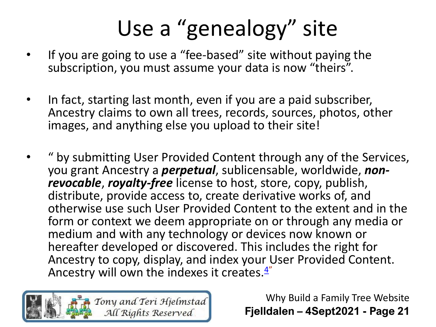- If you are going to use a "fee-based" site without paying the subscription, you must assume your data is now "theirs".
- In fact, starting last month, even if you are a paid subscriber, Ancestry claims to own all trees, records, sources, photos, other images, and anything else you upload to their site!
- " by submitting User Provided Content through any of the Services, you grant Ancestry a *perpetual*, sublicensable, worldwide, *nonrevocable*, *royalty-free* license to host, store, copy, publish, distribute, provide access to, create derivative works of, and otherwise use such User Provided Content to the extent and in the form or context we deem appropriate on or through any media or medium and with any technology or devices now known or hereafter developed or discovered. This includes the right for Ancestry to copy, display, and index your User Provided Content. Ancestry will own the indexes it creates. $4^{\prime\prime}$  $4^{\prime\prime}$

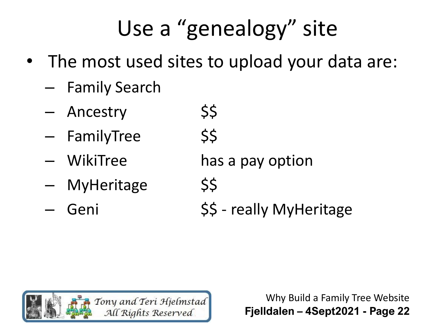- The most used sites to upload your data are:
	- Family Search
	- Ancestry \$\$
	- FamilyTree \$\$
	-
	- MyHeritage \$\$
	-
- 
- WikiTree has a pay option
	-
	- Geni  $\frac{55}{7}$  really MyHeritage

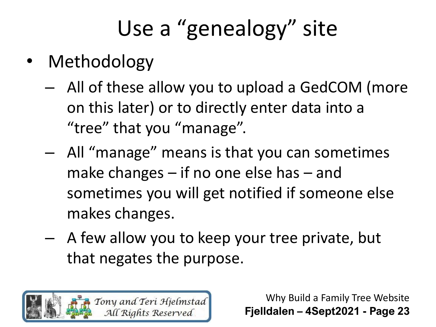- Methodology
	- All of these allow you to upload a GedCOM (more on this later) or to directly enter data into a "tree" that you "manage".
	- All "manage" means is that you can sometimes make changes – if no one else has – and sometimes you will get notified if someone else makes changes.
	- A few allow you to keep your tree private, but that negates the purpose.

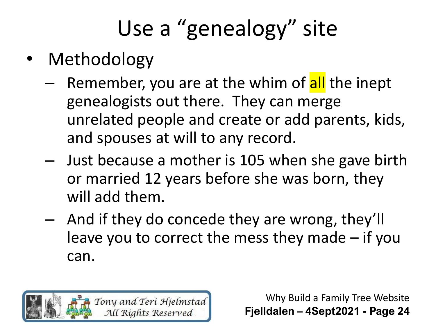- Methodology
	- Remember, you are at the whim of all the inept genealogists out there. They can merge unrelated people and create or add parents, kids, and spouses at will to any record.
	- Just because a mother is 105 when she gave birth or married 12 years before she was born, they will add them.
	- And if they do concede they are wrong, they'll leave you to correct the mess they made – if you can.

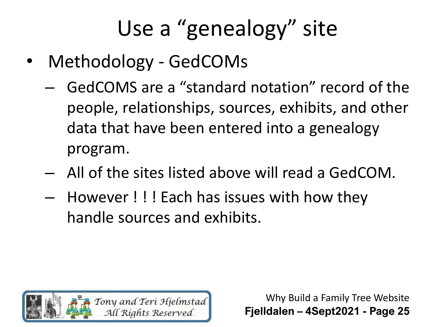- Methodology GedCOMs
	- GedCOMS are a "standard notation" record of the people, relationships, sources, exhibits, and other data that have been entered into a genealogy program.
	- All of the sites listed above will read a GedCOM.
	- However ! ! ! Each has issues with how they handle sources and exhibits.

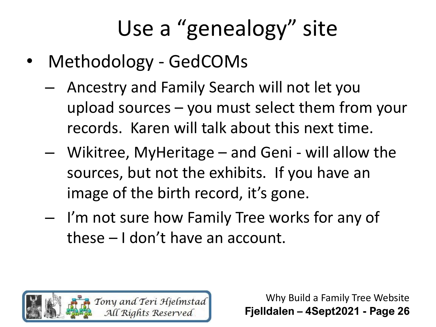- Methodology GedCOMs
	- Ancestry and Family Search will not let you upload sources – you must select them from your records. Karen will talk about this next time.
	- Wikitree, MyHeritage and Geni will allow the sources, but not the exhibits. If you have an image of the birth record, it's gone.
	- I'm not sure how Family Tree works for any of these – I don't have an account.

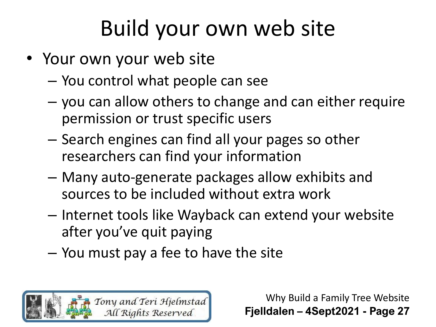- Your own your web site
	- You control what people can see
	- you can allow others to change and can either require permission or trust specific users
	- Search engines can find all your pages so other researchers can find your information
	- Many auto-generate packages allow exhibits and sources to be included without extra work
	- Internet tools like Wayback can extend your website after you've quit paying
	- You must pay a fee to have the site

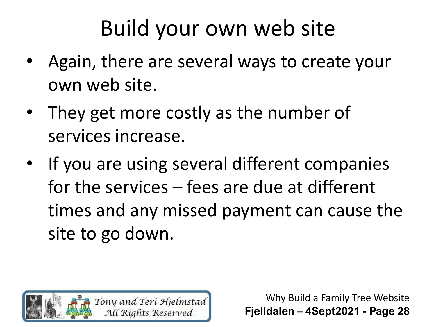- Again, there are several ways to create your own web site.
- They get more costly as the number of services increase.
- If you are using several different companies for the services – fees are due at different times and any missed payment can cause the site to go down.

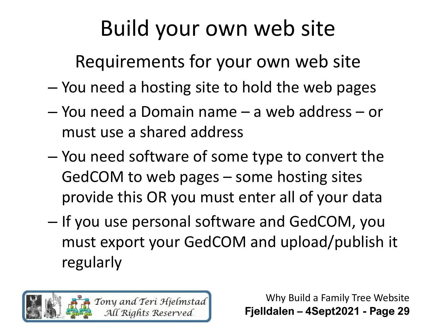Requirements for your own web site

- You need a hosting site to hold the web pages
- You need a Domain name a web address or must use a shared address
- You need software of some type to convert the GedCOM to web pages – some hosting sites provide this OR you must enter all of your data
- If you use personal software and GedCOM, you must export your GedCOM and upload/publish it regularly

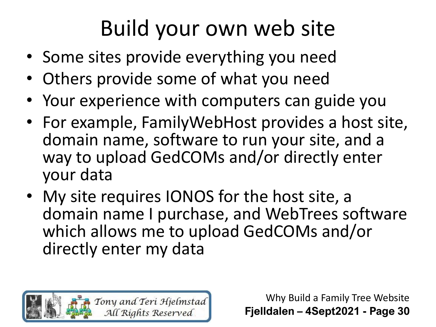- Some sites provide everything you need
- Others provide some of what you need
- Your experience with computers can guide you
- For example, FamilyWebHost provides a host site, domain name, software to run your site, and a way to upload GedCOMs and/or directly enter your data
- My site requires IONOS for the host site, a domain name I purchase, and WebTrees software which allows me to upload GedCOMs and/or directly enter my data

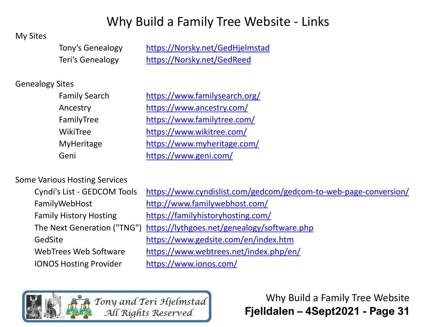#### Why Build a Family Tree Website - Links

#### My Sites

Tony's Genealogy [https://Norsky.net/GedHjelmstad](https://norsky.net/GedHjelmstad) Teri's Genealogy [https://Norsky.net/GedReed](https://norsky.net/GedReed)

#### Genealogy Sites

| <b>Family Search</b> |
|----------------------|
| Ancestry             |
| FamilyTree           |
| WikiTree             |
| MyHeritage           |
| Geni                 |

<https://www.familysearch.org/> <https://www.ancestry.com/> <https://www.familytree.com/> <https://www.wikitree.com/> <https://www.myheritage.com/> <https://www.geni.com/>

#### Some Various Hosting Services

| Cyndi's List - GEDCOM Tools   |  |
|-------------------------------|--|
| FamilyWebHost                 |  |
| <b>Family History Hosting</b> |  |
| The Next Generation ("TNG"    |  |
| GedSite                       |  |
| <b>WebTrees Web Software</b>  |  |
| <b>IONOS Hosting Provider</b> |  |

<https://www.cyndislist.com/gedcom/gedcom-to-web-page-conversion/> <http://www.familywebhost.com/> <https://familyhistoryhosting.com/> <https://lythgoes.net/genealogy/software.php> <https://www.gedsite.com/en/index.htm> <https://www.webtrees.net/index.php/en/> <https://www.ionos.com/>